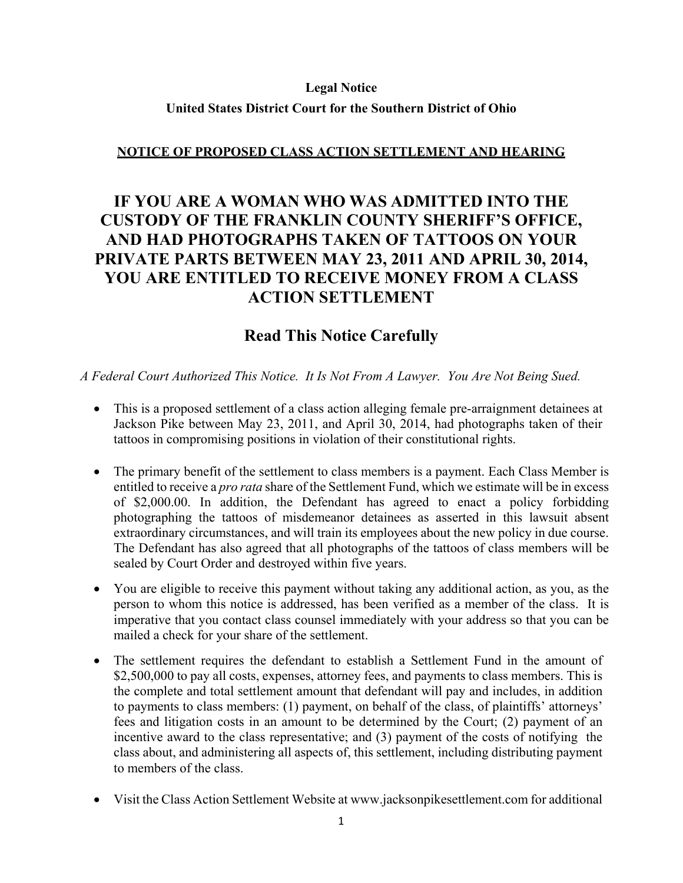#### **Legal Notice**

### **United States District Court for the Southern District of Ohio**

## **NOTICE OF PROPOSED CLASS ACTION SETTLEMENT AND HEARING**

# **IF YOU ARE A WOMAN WHO WAS ADMITTED INTO THE CUSTODY OF THE FRANKLIN COUNTY SHERIFF'S OFFICE, AND HAD PHOTOGRAPHS TAKEN OF TATTOOS ON YOUR PRIVATE PARTS BETWEEN MAY 23, 2011 AND APRIL 30, 2014, YOU ARE ENTITLED TO RECEIVE MONEY FROM A CLASS ACTION SETTLEMENT**

# **Read This Notice Carefully**

*A Federal Court Authorized This Notice. It Is Not From A Lawyer. You Are Not Being Sued.* 

- This is a proposed settlement of a class action alleging female pre-arraignment detainees at Jackson Pike between May 23, 2011, and April 30, 2014, had photographs taken of their tattoos in compromising positions in violation of their constitutional rights.
- The primary benefit of the settlement to class members is a payment. Each Class Member is entitled to receive a *pro rata* share of the Settlement Fund, which we estimate will be in excess of \$2,000.00. In addition, the Defendant has agreed to enact a policy forbidding photographing the tattoos of misdemeanor detainees as asserted in this lawsuit absent extraordinary circumstances, and will train its employees about the new policy in due course. The Defendant has also agreed that all photographs of the tattoos of class members will be sealed by Court Order and destroyed within five years.
- You are eligible to receive this payment without taking any additional action, as you, as the person to whom this notice is addressed, has been verified as a member of the class. It is imperative that you contact class counsel immediately with your address so that you can be mailed a check for your share of the settlement.
- The settlement requires the defendant to establish a Settlement Fund in the amount of \$2,500,000 to pay all costs, expenses, attorney fees, and payments to class members. This is the complete and total settlement amount that defendant will pay and includes, in addition to payments to class members: (1) payment, on behalf of the class, of plaintiffs' attorneys' fees and litigation costs in an amount to be determined by the Court; (2) payment of an incentive award to the class representative; and (3) payment of the costs of notifying the class about, and administering all aspects of, this settlement, including distributing payment to members of the class.
- Visit the Class Action Settlement Website at www.jacksonpikesettlement.com for additional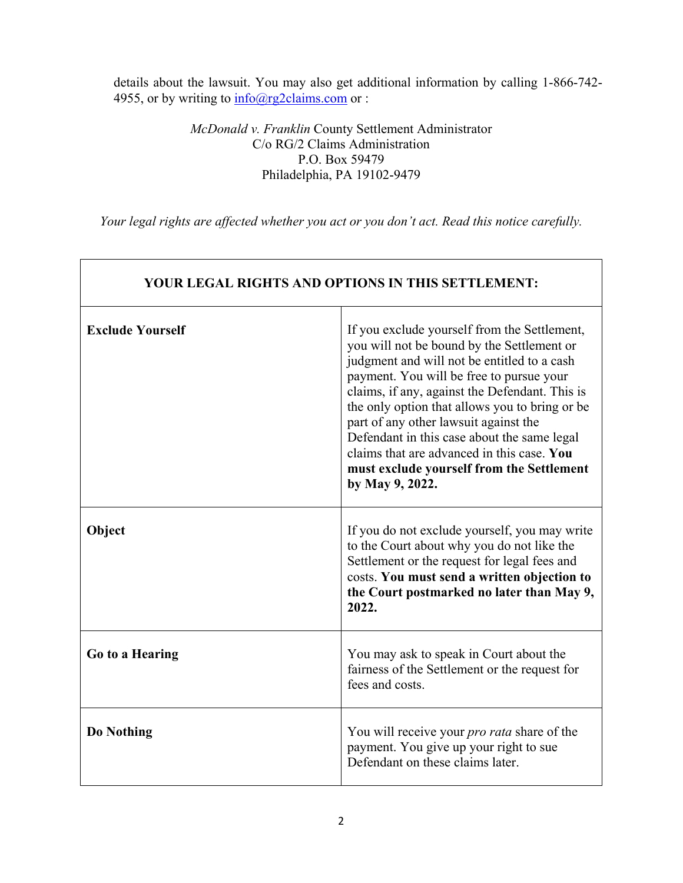details about the lawsuit. You may also get additional information by calling 1-866-742- 4955, or by writing to  $\frac{info(@rg2claims.com}{info(@rg2claims.com})$  or :

> *McDonald v. Franklin* County Settlement Administrator C/o RG/2 Claims Administration P.O. Box 59479 Philadelphia, PA 19102-9479

*Your legal rights are affected whether you act or you don't act. Read this notice carefully.* 

Г

٦

| <b>YOUR LEGAL RIGHTS AND OPTIONS IN THIS SETTLEMENT:</b> |                                                                                                                                                                                                                                                                                                                                                                                                                                                                                                 |
|----------------------------------------------------------|-------------------------------------------------------------------------------------------------------------------------------------------------------------------------------------------------------------------------------------------------------------------------------------------------------------------------------------------------------------------------------------------------------------------------------------------------------------------------------------------------|
| <b>Exclude Yourself</b>                                  | If you exclude yourself from the Settlement,<br>you will not be bound by the Settlement or<br>judgment and will not be entitled to a cash<br>payment. You will be free to pursue your<br>claims, if any, against the Defendant. This is<br>the only option that allows you to bring or be<br>part of any other lawsuit against the<br>Defendant in this case about the same legal<br>claims that are advanced in this case. You<br>must exclude yourself from the Settlement<br>by May 9, 2022. |
| Object                                                   | If you do not exclude yourself, you may write<br>to the Court about why you do not like the<br>Settlement or the request for legal fees and<br>costs. You must send a written objection to<br>the Court postmarked no later than May 9,<br>2022.                                                                                                                                                                                                                                                |
| Go to a Hearing                                          | You may ask to speak in Court about the<br>fairness of the Settlement or the request for<br>fees and costs.                                                                                                                                                                                                                                                                                                                                                                                     |
| Do Nothing                                               | You will receive your <i>pro rata</i> share of the<br>payment. You give up your right to sue<br>Defendant on these claims later.                                                                                                                                                                                                                                                                                                                                                                |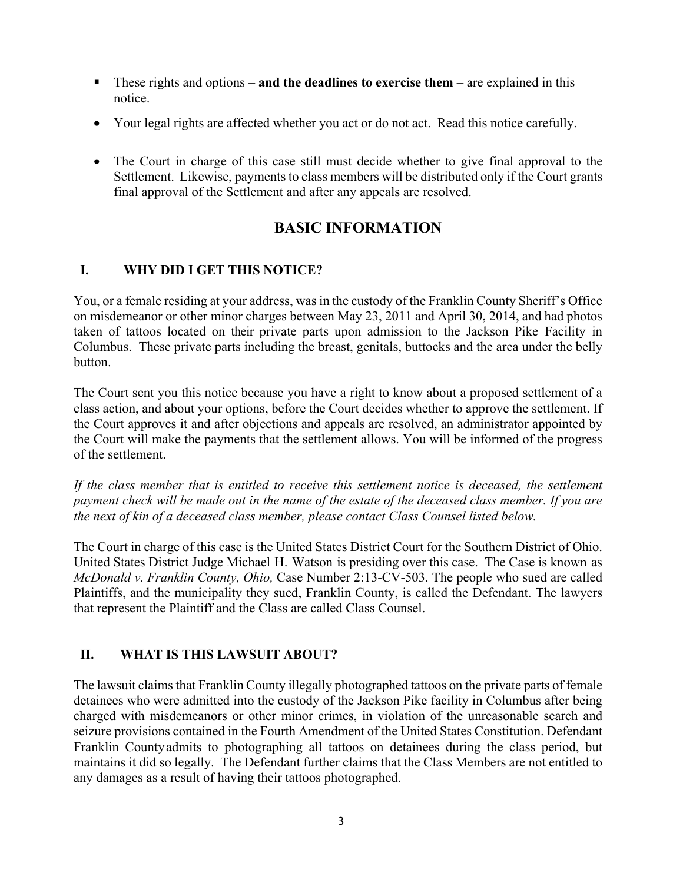- These rights and options **and the deadlines to exercise them** are explained in this notice.
- Your legal rights are affected whether you act or do not act. Read this notice carefully.
- The Court in charge of this case still must decide whether to give final approval to the Settlement. Likewise, payments to class members will be distributed only if the Court grants final approval of the Settlement and after any appeals are resolved.

# **BASIC INFORMATION**

# **I. WHY DID I GET THIS NOTICE?**

You, or a female residing at your address, was in the custody of the Franklin County Sheriff's Office on misdemeanor or other minor charges between May 23, 2011 and April 30, 2014, and had photos taken of tattoos located on their private parts upon admission to the Jackson Pike Facility in Columbus. These private parts including the breast, genitals, buttocks and the area under the belly button.

The Court sent you this notice because you have a right to know about a proposed settlement of a class action, and about your options, before the Court decides whether to approve the settlement. If the Court approves it and after objections and appeals are resolved, an administrator appointed by the Court will make the payments that the settlement allows. You will be informed of the progress of the settlement.

*If the class member that is entitled to receive this settlement notice is deceased, the settlement payment check will be made out in the name of the estate of the deceased class member. If you are the next of kin of a deceased class member, please contact Class Counsel listed below.* 

The Court in charge of this case is the United States District Court for the Southern District of Ohio. United States District Judge Michael H. Watson is presiding over this case. The Case is known as *McDonald v. Franklin County, Ohio,* Case Number 2:13-CV-503. The people who sued are called Plaintiffs, and the municipality they sued, Franklin County, is called the Defendant. The lawyers that represent the Plaintiff and the Class are called Class Counsel.

# **II. WHAT IS THIS LAWSUIT ABOUT?**

The lawsuit claims that Franklin County illegally photographed tattoos on the private parts of female detainees who were admitted into the custody of the Jackson Pike facility in Columbus after being charged with misdemeanors or other minor crimes, in violation of the unreasonable search and seizure provisions contained in the Fourth Amendment of the United States Constitution. Defendant Franklin County admits to photographing all tattoos on detainees during the class period, but maintains it did so legally. The Defendant further claims that the Class Members are not entitled to any damages as a result of having their tattoos photographed.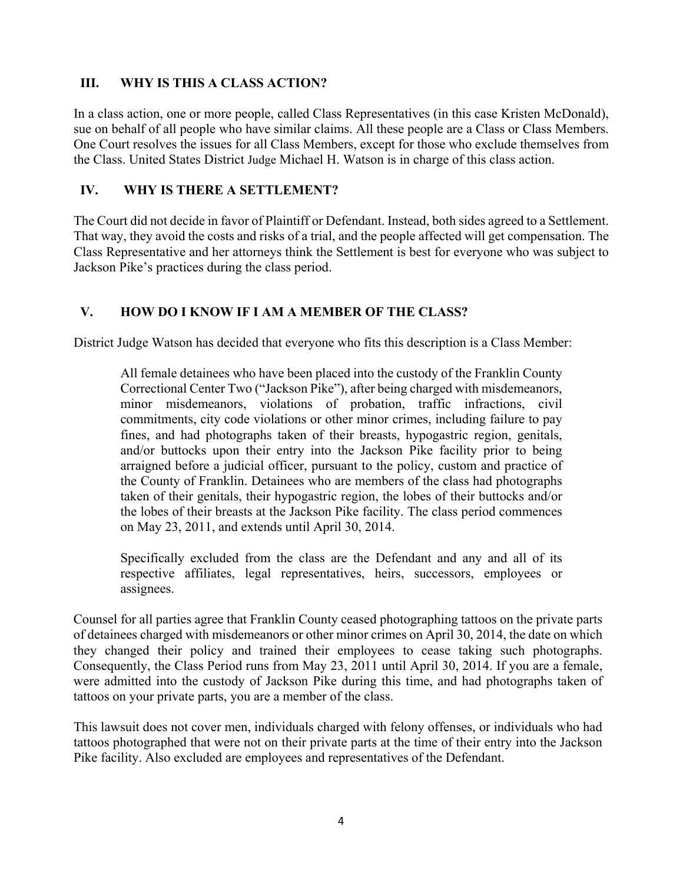## **III. WHY IS THIS A CLASS ACTION?**

In a class action, one or more people, called Class Representatives (in this case Kristen McDonald), sue on behalf of all people who have similar claims. All these people are a Class or Class Members. One Court resolves the issues for all Class Members, except for those who exclude themselves from the Class. United States District Judge Michael H. Watson is in charge of this class action.

## **IV. WHY IS THERE A SETTLEMENT?**

The Court did not decide in favor of Plaintiff or Defendant. Instead, both sides agreed to a Settlement. That way, they avoid the costs and risks of a trial, and the people affected will get compensation. The Class Representative and her attorneys think the Settlement is best for everyone who was subject to Jackson Pike's practices during the class period.

## **V. HOW DO I KNOW IF I AM A MEMBER OF THE CLASS?**

District Judge Watson has decided that everyone who fits this description is a Class Member:

All female detainees who have been placed into the custody of the Franklin County Correctional Center Two ("Jackson Pike"), after being charged with misdemeanors, minor misdemeanors, violations of probation, traffic infractions, civil commitments, city code violations or other minor crimes, including failure to pay fines, and had photographs taken of their breasts, hypogastric region, genitals, and/or buttocks upon their entry into the Jackson Pike facility prior to being arraigned before a judicial officer, pursuant to the policy, custom and practice of the County of Franklin. Detainees who are members of the class had photographs taken of their genitals, their hypogastric region, the lobes of their buttocks and/or the lobes of their breasts at the Jackson Pike facility. The class period commences on May 23, 2011, and extends until April 30, 2014.

Specifically excluded from the class are the Defendant and any and all of its respective affiliates, legal representatives, heirs, successors, employees or assignees.

Counsel for all parties agree that Franklin County ceased photographing tattoos on the private parts of detainees charged with misdemeanors or other minor crimes on April 30, 2014, the date on which they changed their policy and trained their employees to cease taking such photographs. Consequently, the Class Period runs from May 23, 2011 until April 30, 2014. If you are a female, were admitted into the custody of Jackson Pike during this time, and had photographs taken of tattoos on your private parts, you are a member of the class.

This lawsuit does not cover men, individuals charged with felony offenses, or individuals who had tattoos photographed that were not on their private parts at the time of their entry into the Jackson Pike facility. Also excluded are employees and representatives of the Defendant.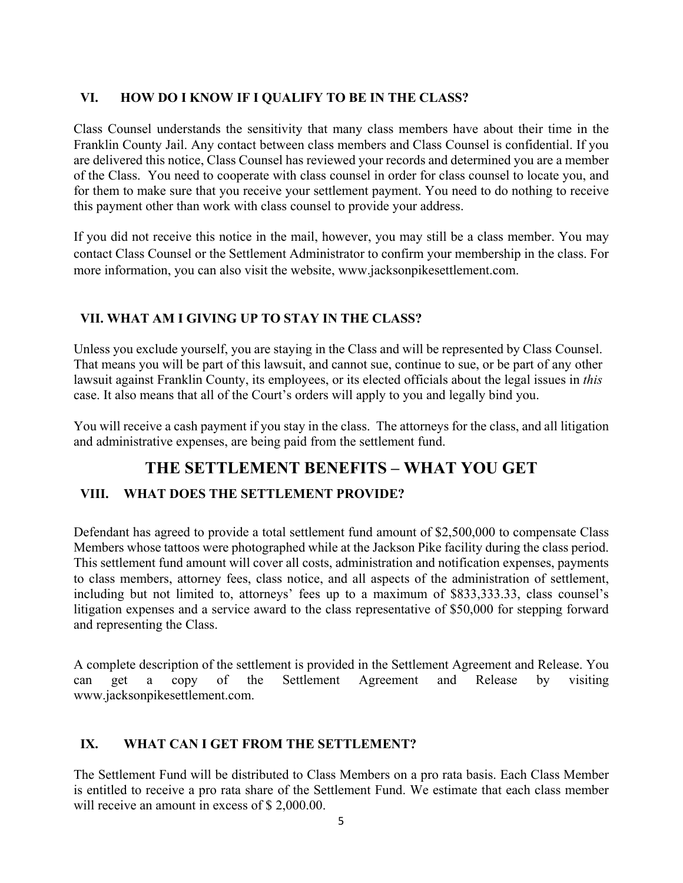## **VI. HOW DO I KNOW IF I QUALIFY TO BE IN THE CLASS?**

Class Counsel understands the sensitivity that many class members have about their time in the Franklin County Jail. Any contact between class members and Class Counsel is confidential. If you are delivered this notice, Class Counsel has reviewed your records and determined you are a member of the Class. You need to cooperate with class counsel in order for class counsel to locate you, and for them to make sure that you receive your settlement payment. You need to do nothing to receive this payment other than work with class counsel to provide your address.

If you did not receive this notice in the mail, however, you may still be a class member. You may contact Class Counsel or the Settlement Administrator to confirm your membership in the class. For more information, you can also visit the website, www.jacksonpikesettlement.com.

## **VII. WHAT AM I GIVING UP TO STAY IN THE CLASS?**

Unless you exclude yourself, you are staying in the Class and will be represented by Class Counsel. That means you will be part of this lawsuit, and cannot sue, continue to sue, or be part of any other lawsuit against Franklin County, its employees, or its elected officials about the legal issues in *this*  case. It also means that all of the Court's orders will apply to you and legally bind you.

You will receive a cash payment if you stay in the class. The attorneys for the class, and all litigation and administrative expenses, are being paid from the settlement fund.

# **THE SETTLEMENT BENEFITS – WHAT YOU GET**

# **VIII. WHAT DOES THE SETTLEMENT PROVIDE?**

Defendant has agreed to provide a total settlement fund amount of \$2,500,000 to compensate Class Members whose tattoos were photographed while at the Jackson Pike facility during the class period. This settlement fund amount will cover all costs, administration and notification expenses, payments to class members, attorney fees, class notice, and all aspects of the administration of settlement, including but not limited to, attorneys' fees up to a maximum of \$833,333.33, class counsel's litigation expenses and a service award to the class representative of \$50,000 for stepping forward and representing the Class.

A complete description of the settlement is provided in the Settlement Agreement and Release. You can get a copy of the Settlement Agreement and Release by visiting www.jacksonpikesettlement.com.

## **IX. WHAT CAN I GET FROM THE SETTLEMENT?**

The Settlement Fund will be distributed to Class Members on a pro rata basis. Each Class Member is entitled to receive a pro rata share of the Settlement Fund. We estimate that each class member will receive an amount in excess of \$ 2,000,00.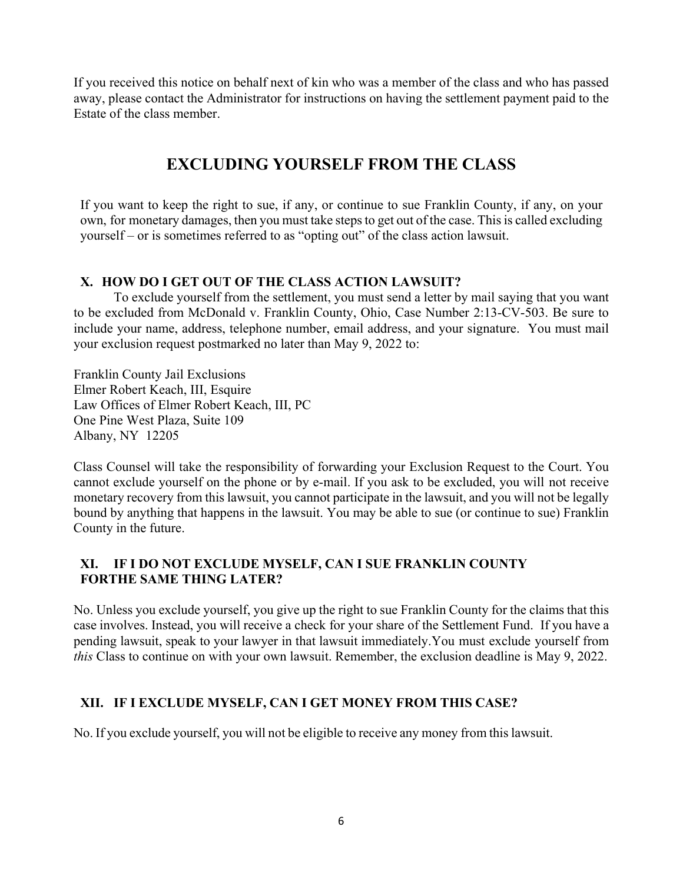If you received this notice on behalf next of kin who was a member of the class and who has passed away, please contact the Administrator for instructions on having the settlement payment paid to the Estate of the class member.

# **EXCLUDING YOURSELF FROM THE CLASS**

If you want to keep the right to sue, if any, or continue to sue Franklin County, if any, on your own, for monetary damages, then you must take steps to get out of the case. This is called excluding yourself – or is sometimes referred to as "opting out" of the class action lawsuit.

## **X. HOW DO I GET OUT OF THE CLASS ACTION LAWSUIT?**

To exclude yourself from the settlement, you must send a letter by mail saying that you want to be excluded from McDonald v. Franklin County, Ohio, Case Number 2:13-CV-503. Be sure to include your name, address, telephone number, email address, and your signature. You must mail your exclusion request postmarked no later than May 9, 2022 to:

Franklin County Jail Exclusions Elmer Robert Keach, III, Esquire Law Offices of Elmer Robert Keach, III, PC One Pine West Plaza, Suite 109 Albany, NY 12205

Class Counsel will take the responsibility of forwarding your Exclusion Request to the Court. You cannot exclude yourself on the phone or by e-mail. If you ask to be excluded, you will not receive monetary recovery from this lawsuit, you cannot participate in the lawsuit, and you will not be legally bound by anything that happens in the lawsuit. You may be able to sue (or continue to sue) Franklin County in the future.

## **XI. IF I DO NOT EXCLUDE MYSELF, CAN I SUE FRANKLIN COUNTY FORTHE SAME THING LATER?**

No. Unless you exclude yourself, you give up the right to sue Franklin County for the claims that this case involves. Instead, you will receive a check for your share of the Settlement Fund. If you have a pending lawsuit, speak to your lawyer in that lawsuit immediately. You must exclude yourself from *this* Class to continue on with your own lawsuit. Remember, the exclusion deadline is May 9, 2022.

# **XII. IF I EXCLUDE MYSELF, CAN I GET MONEY FROM THIS CASE?**

No. If you exclude yourself, you will not be eligible to receive any money from this lawsuit.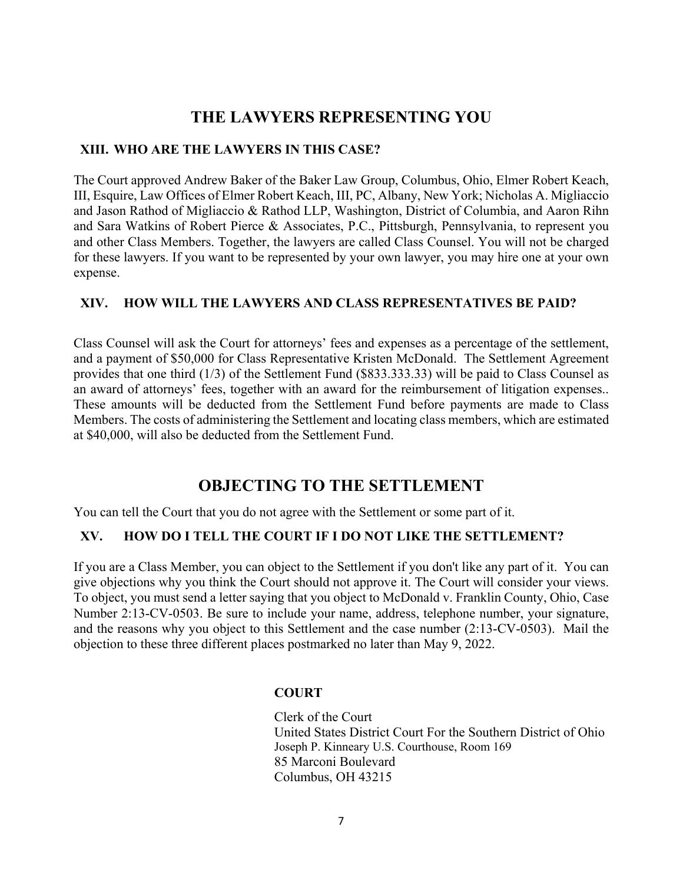# **THE LAWYERS REPRESENTING YOU**

### **XIII. WHO ARE THE LAWYERS IN THIS CASE?**

The Court approved Andrew Baker of the Baker Law Group, Columbus, Ohio, Elmer Robert Keach, III, Esquire, Law Offices of Elmer Robert Keach, III, PC, Albany, New York; Nicholas A. Migliaccio and Jason Rathod of Migliaccio & Rathod LLP, Washington, District of Columbia, and Aaron Rihn and Sara Watkins of Robert Pierce & Associates, P.C., Pittsburgh, Pennsylvania, to represent you and other Class Members. Together, the lawyers are called Class Counsel. You will not be charged for these lawyers. If you want to be represented by your own lawyer, you may hire one at your own expense.

### **XIV. HOW WILL THE LAWYERS AND CLASS REPRESENTATIVES BE PAID?**

Class Counsel will ask the Court for attorneys' fees and expenses as a percentage of the settlement, and a payment of \$50,000 for Class Representative Kristen McDonald. The Settlement Agreement provides that one third (1/3) of the Settlement Fund (\$833.333.33) will be paid to Class Counsel as an award of attorneys' fees, together with an award for the reimbursement of litigation expenses.. These amounts will be deducted from the Settlement Fund before payments are made to Class Members. The costs of administering the Settlement and locating class members, which are estimated at \$40,000, will also be deducted from the Settlement Fund.

# **OBJECTING TO THE SETTLEMENT**

You can tell the Court that you do not agree with the Settlement or some part of it.

## **XV. HOW DO I TELL THE COURT IF I DO NOT LIKE THE SETTLEMENT?**

If you are a Class Member, you can object to the Settlement if you don't like any part of it. You can give objections why you think the Court should not approve it. The Court will consider your views. To object, you must send a letter saying that you object to McDonald v. Franklin County, Ohio, Case Number 2:13-CV-0503. Be sure to include your name, address, telephone number, your signature, and the reasons why you object to this Settlement and the case number (2:13-CV-0503). Mail the objection to these three different places postmarked no later than May 9, 2022.

## **COURT**

Clerk of the Court United States District Court For the Southern District of Ohio Joseph P. Kinneary U.S. Courthouse, Room 169 85 Marconi Boulevard Columbus, OH 43215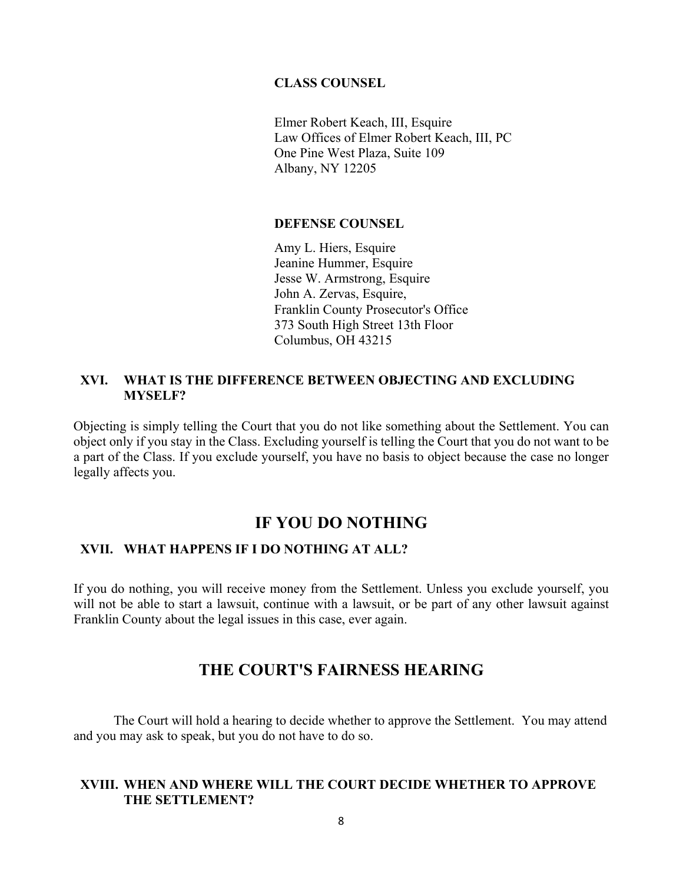#### **CLASS COUNSEL**

Elmer Robert Keach, III, Esquire Law Offices of Elmer Robert Keach, III, PC One Pine West Plaza, Suite 109 Albany, NY 12205

#### **DEFENSE COUNSEL**

Amy L. Hiers, Esquire Jeanine Hummer, Esquire Jesse W. Armstrong, Esquire John A. Zervas, Esquire, Franklin County Prosecutor's Office 373 South High Street 13th Floor Columbus, OH 43215

#### **XVI. WHAT IS THE DIFFERENCE BETWEEN OBJECTING AND EXCLUDING MYSELF?**

Objecting is simply telling the Court that you do not like something about the Settlement. You can object only if you stay in the Class. Excluding yourself is telling the Court that you do not want to be a part of the Class. If you exclude yourself, you have no basis to object because the case no longer legally affects you.

# **IF YOU DO NOTHING**

#### **XVII. WHAT HAPPENS IF I DO NOTHING AT ALL?**

If you do nothing, you will receive money from the Settlement. Unless you exclude yourself, you will not be able to start a lawsuit, continue with a lawsuit, or be part of any other lawsuit against Franklin County about the legal issues in this case, ever again.

# **THE COURT'S FAIRNESS HEARING**

The Court will hold a hearing to decide whether to approve the Settlement. You may attend and you may ask to speak, but you do not have to do so.

#### **XVIII. WHEN AND WHERE WILL THE COURT DECIDE WHETHER TO APPROVE THE SETTLEMENT?**